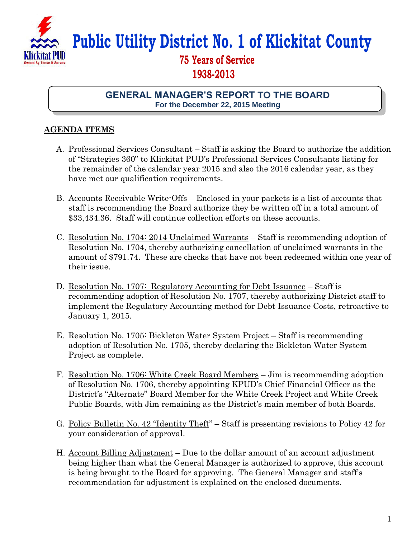

**Public Utility District No. 1 of Klickitat County**

## **75 Years of Service 1938-2013**

**GENERAL MANAGER'S REPORT TO THE BOARD For the December 22, 2015 Meeting**

## **AGENDA ITEMS**

- A. Professional Services Consultant Staff is asking the Board to authorize the addition of "Strategies 360" to Klickitat PUD's Professional Services Consultants listing for the remainder of the calendar year 2015 and also the 2016 calendar year, as they have met our qualification requirements.
- B. Accounts Receivable Write-Offs Enclosed in your packets is a list of accounts that staff is recommending the Board authorize they be written off in a total amount of \$33,434.36. Staff will continue collection efforts on these accounts.
- C. Resolution No. 1704: 2014 Unclaimed Warrants Staff is recommending adoption of Resolution No. 1704, thereby authorizing cancellation of unclaimed warrants in the amount of \$791.74. These are checks that have not been redeemed within one year of their issue.
- D. Resolution No. 1707: Regulatory Accounting for Debt Issuance Staff is recommending adoption of Resolution No. 1707, thereby authorizing District staff to implement the Regulatory Accounting method for Debt Issuance Costs, retroactive to January 1, 2015.
- E. Resolution No. 1705: Bickleton Water System Project Staff is recommending adoption of Resolution No. 1705, thereby declaring the Bickleton Water System Project as complete.
- F. Resolution No. 1706: White Creek Board Members Jim is recommending adoption of Resolution No. 1706, thereby appointing KPUD's Chief Financial Officer as the District's "Alternate" Board Member for the White Creek Project and White Creek Public Boards, with Jim remaining as the District's main member of both Boards.
- G. Policy Bulletin No. 42 "Identity Theft" Staff is presenting revisions to Policy 42 for your consideration of approval.
- H. Account Billing Adjustment Due to the dollar amount of an account adjustment being higher than what the General Manager is authorized to approve, this account is being brought to the Board for approving. The General Manager and staff's recommendation for adjustment is explained on the enclosed documents.